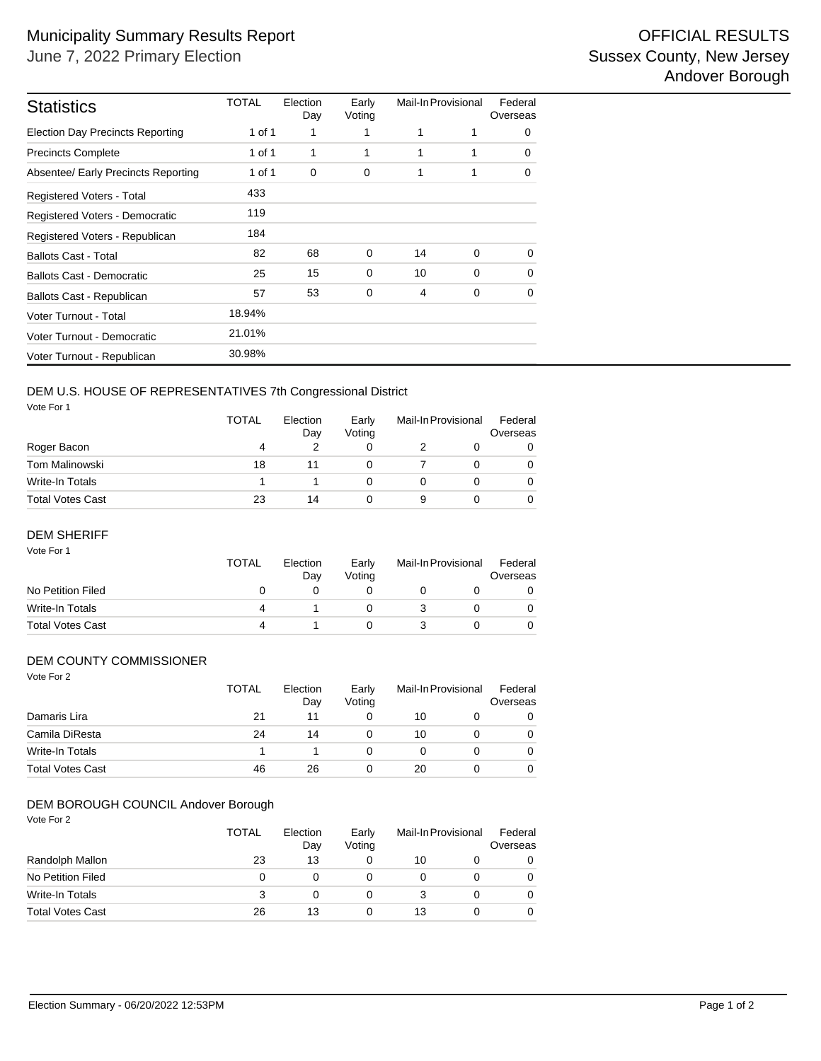| <b>Statistics</b>                       | TOTAL  | Election<br>Day | Early<br>Voting | Mail-In Provisional |          | Federal<br>Overseas |  |
|-----------------------------------------|--------|-----------------|-----------------|---------------------|----------|---------------------|--|
| <b>Election Day Precincts Reporting</b> | 1 of 1 | 1               | 1               | 1                   | 1        | $\Omega$            |  |
| <b>Precincts Complete</b>               | 1 of 1 | 1               | 1               | 1                   | 1        | $\Omega$            |  |
| Absentee/ Early Precincts Reporting     | 1 of 1 | 0               | 0               | 1                   | 1        | $\Omega$            |  |
| Registered Voters - Total               | 433    |                 |                 |                     |          |                     |  |
| Registered Voters - Democratic          | 119    |                 |                 |                     |          |                     |  |
| Registered Voters - Republican          | 184    |                 |                 |                     |          |                     |  |
| <b>Ballots Cast - Total</b>             | 82     | 68              | 0               | 14                  | $\Omega$ | $\Omega$            |  |
| <b>Ballots Cast - Democratic</b>        | 25     | 15              | 0               | 10                  | $\Omega$ | $\Omega$            |  |
| Ballots Cast - Republican               | 57     | 53              | 0               | 4                   | 0        | $\Omega$            |  |
| Voter Turnout - Total                   | 18.94% |                 |                 |                     |          |                     |  |
| Voter Turnout - Democratic              | 21.01% |                 |                 |                     |          |                     |  |
| Voter Turnout - Republican              | 30.98% |                 |                 |                     |          |                     |  |

# DEM U.S. HOUSE OF REPRESENTATIVES 7th Congressional District

Vote For 1

|                  | <b>TOTAL</b> | Election<br>Day | Early<br>Votina | Mail-In Provisional |  | Federal<br>Overseas |  |
|------------------|--------------|-----------------|-----------------|---------------------|--|---------------------|--|
| Roger Bacon      | 4            |                 |                 |                     |  | 0                   |  |
| Tom Malinowski   | 18           |                 |                 |                     |  | 0                   |  |
| Write-In Totals  |              |                 |                 |                     |  | $\Omega$            |  |
| Total Votes Cast | 23           | 14              |                 | 9                   |  | $\Omega$            |  |

## DEM SHERIFF

| Vote For 1              | <b>TOTAL</b> | Election<br>Day | Early<br>Voting | Mail-In Provisional |  | Federal<br>Overseas |
|-------------------------|--------------|-----------------|-----------------|---------------------|--|---------------------|
| No Petition Filed       | O            |                 |                 |                     |  |                     |
| Write-In Totals         | 4            |                 |                 |                     |  |                     |
| <b>Total Votes Cast</b> | 4            |                 |                 |                     |  |                     |

## DEM COUNTY COMMISSIONER

| Vote For 2              | <b>TOTAL</b> | Election<br>Day | Early<br>Voting | Mail-In Provisional |   | Federal<br>Overseas |
|-------------------------|--------------|-----------------|-----------------|---------------------|---|---------------------|
| Damaris Lira            | 21           | 11              | 0               | 10                  | O | 0                   |
| Camila DiResta          | 24           | 14              | 0               | 10                  |   | 0                   |
| <b>Write-In Totals</b>  |              |                 | 0               | 0                   |   | 0                   |
| <b>Total Votes Cast</b> | 46           | 26              | 0               | 20                  |   | 0                   |

#### Vote For 2 DEM BOROUGH COUNCIL Andover Borough

| * Y Y Y Y Y I A         | <b>TOTAL</b> | Election<br>Day | Early<br>Voting | Mail-In Provisional |   | Federal<br>Overseas |  |
|-------------------------|--------------|-----------------|-----------------|---------------------|---|---------------------|--|
| Randolph Mallon         | 23           | 13              |                 | 10                  |   |                     |  |
| No Petition Filed       | Ω            |                 |                 |                     |   |                     |  |
| Write-In Totals         | 3            | 0               |                 |                     | 0 |                     |  |
| <b>Total Votes Cast</b> | 26           | 13              |                 | 13                  |   |                     |  |